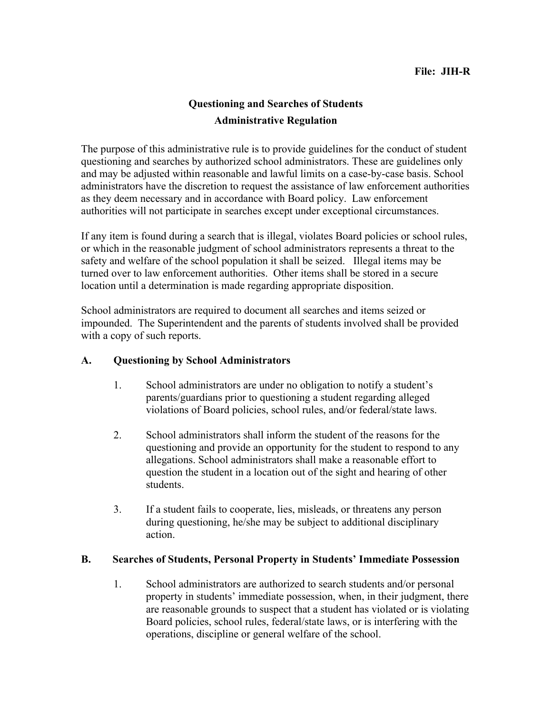# **Questioning and Searches of Students Administrative Regulation**

The purpose of this administrative rule is to provide guidelines for the conduct of student questioning and searches by authorized school administrators. These are guidelines only and may be adjusted within reasonable and lawful limits on a case-by-case basis. School administrators have the discretion to request the assistance of law enforcement authorities as they deem necessary and in accordance with Board policy. Law enforcement authorities will not participate in searches except under exceptional circumstances.

If any item is found during a search that is illegal, violates Board policies or school rules, or which in the reasonable judgment of school administrators represents a threat to the safety and welfare of the school population it shall be seized. Illegal items may be turned over to law enforcement authorities. Other items shall be stored in a secure location until a determination is made regarding appropriate disposition.

School administrators are required to document all searches and items seized or impounded. The Superintendent and the parents of students involved shall be provided with a copy of such reports.

### **A. Questioning by School Administrators**

- 1. School administrators are under no obligation to notify a student's parents/guardians prior to questioning a student regarding alleged violations of Board policies, school rules, and/or federal/state laws.
- 2. School administrators shall inform the student of the reasons for the questioning and provide an opportunity for the student to respond to any allegations. School administrators shall make a reasonable effort to question the student in a location out of the sight and hearing of other students.
- 3. If a student fails to cooperate, lies, misleads, or threatens any person during questioning, he/she may be subject to additional disciplinary action.

#### **B. Searches of Students, Personal Property in Students' Immediate Possession**

1. School administrators are authorized to search students and/or personal property in students' immediate possession, when, in their judgment, there are reasonable grounds to suspect that a student has violated or is violating Board policies, school rules, federal/state laws, or is interfering with the operations, discipline or general welfare of the school.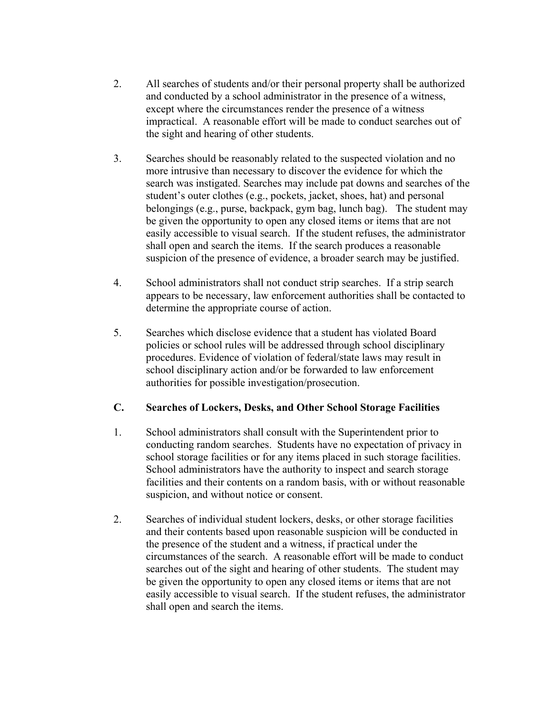- 2. All searches of students and/or their personal property shall be authorized and conducted by a school administrator in the presence of a witness, except where the circumstances render the presence of a witness impractical. A reasonable effort will be made to conduct searches out of the sight and hearing of other students.
- 3. Searches should be reasonably related to the suspected violation and no more intrusive than necessary to discover the evidence for which the search was instigated. Searches may include pat downs and searches of the student's outer clothes (e.g., pockets, jacket, shoes, hat) and personal belongings (e.g., purse, backpack, gym bag, lunch bag). The student may be given the opportunity to open any closed items or items that are not easily accessible to visual search. If the student refuses, the administrator shall open and search the items. If the search produces a reasonable suspicion of the presence of evidence, a broader search may be justified.
- 4. School administrators shall not conduct strip searches.If a strip search appears to be necessary, law enforcement authorities shall be contacted to determine the appropriate course of action.
- 5. Searches which disclose evidence that a student has violated Board policies or school rules will be addressed through school disciplinary procedures. Evidence of violation of federal/state laws may result in school disciplinary action and/or be forwarded to law enforcement authorities for possible investigation/prosecution.

### **C. Searches of Lockers, Desks, and Other School Storage Facilities**

- 1. School administrators shall consult with the Superintendent prior to conducting random searches. Students have no expectation of privacy in school storage facilities or for any items placed in such storage facilities. School administrators have the authority to inspect and search storage facilities and their contents on a random basis, with or without reasonable suspicion, and without notice or consent.
- 2. Searches of individual student lockers, desks, or other storage facilities and their contents based upon reasonable suspicion will be conducted in the presence of the student and a witness, if practical under the circumstances of the search. A reasonable effort will be made to conduct searches out of the sight and hearing of other students. The student may be given the opportunity to open any closed items or items that are not easily accessible to visual search. If the student refuses, the administrator shall open and search the items.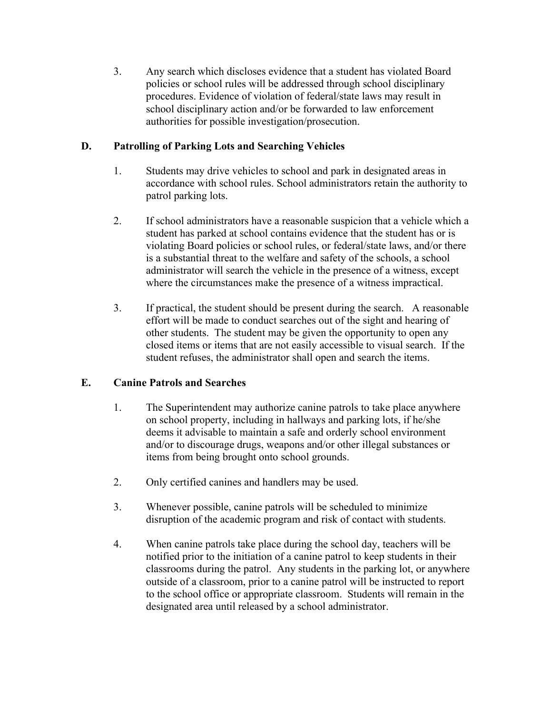3. Any search which discloses evidence that a student has violated Board policies or school rules will be addressed through school disciplinary procedures. Evidence of violation of federal/state laws may result in school disciplinary action and/or be forwarded to law enforcement authorities for possible investigation/prosecution.

## **D. Patrolling of Parking Lots and Searching Vehicles**

- 1. Students may drive vehicles to school and park in designated areas in accordance with school rules. School administrators retain the authority to patrol parking lots.
- 2. If school administrators have a reasonable suspicion that a vehicle which a student has parked at school contains evidence that the student has or is violating Board policies or school rules, or federal/state laws, and/or there is a substantial threat to the welfare and safety of the schools, a school administrator will search the vehicle in the presence of a witness, except where the circumstances make the presence of a witness impractical.
- 3. If practical, the student should be present during the search. A reasonable effort will be made to conduct searches out of the sight and hearing of other students. The student may be given the opportunity to open any closed items or items that are not easily accessible to visual search. If the student refuses, the administrator shall open and search the items.

## **E. Canine Patrols and Searches**

- 1. The Superintendent may authorize canine patrols to take place anywhere on school property, including in hallways and parking lots, if he/she deems it advisable to maintain a safe and orderly school environment and/or to discourage drugs, weapons and/or other illegal substances or items from being brought onto school grounds.
- 2. Only certified canines and handlers may be used.
- 3. Whenever possible, canine patrols will be scheduled to minimize disruption of the academic program and risk of contact with students.
- 4. When canine patrols take place during the school day, teachers will be notified prior to the initiation of a canine patrol to keep students in their classrooms during the patrol. Any students in the parking lot, or anywhere outside of a classroom, prior to a canine patrol will be instructed to report to the school office or appropriate classroom. Students will remain in the designated area until released by a school administrator.